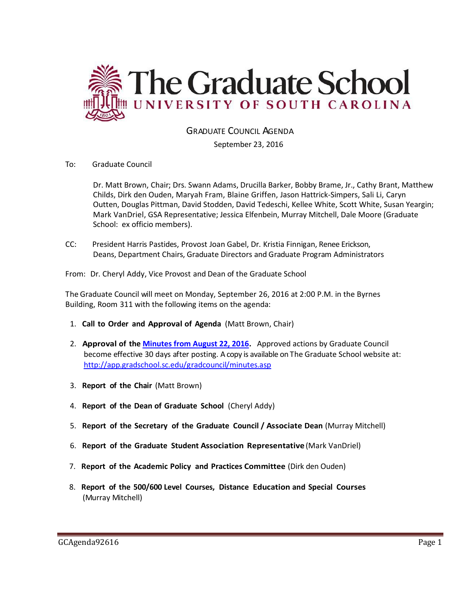

# GRADUATE COUNCIL AGENDA

September 23, 2016

# To: Graduate Council

Dr. Matt Brown, Chair; Drs. Swann Adams, Drucilla Barker, Bobby Brame, Jr., Cathy Brant, Matthew Childs, Dirk den Ouden, Maryah Fram, Blaine Griffen, Jason Hattrick-Simpers, Sali Li, Caryn Outten, Douglas Pittman, David Stodden, David Tedeschi, Kellee White, Scott White, Susan Yeargin; Mark VanDriel, GSA Representative; Jessica Elfenbein, Murray Mitchell, Dale Moore (Graduate School: ex officio members).

CC: President Harris Pastides, Provost Joan Gabel, Dr. Kristia Finnigan, Renee Erickson, Deans, Department Chairs, Graduate Directors and Graduate Program Administrators

From: Dr. Cheryl Addy, Vice Provost and Dean of the Graduate School

The Graduate Council will meet on Monday, September 26, 2016 at 2:00 P.M. in the Byrnes Building, Room 311 with the following items on the agenda:

- 1. **Call to Order and Approval of Agenda** (Matt Brown, Chair)
- 2. **Approval of the [Minutes from August 22, 2016.](http://gradschool.sc.edu/facstaff/gradcouncil/2016/GCMINUTESAUG2016MFM.pdf)** Approved actions by Graduate Council become effective 30 days after posting. A copy is available on The Graduate School website at: <http://app.gradschool.sc.edu/gradcouncil/minutes.asp>
- 3. **Report of the Chair** (Matt Brown)
- 4. **Report of the Dean of Graduate School** (Cheryl Addy)
- 5. **Report of the Secretary of the Graduate Council / Associate Dean** (Murray Mitchell)
- 6. **Report of the Graduate Student Association Representative** (Mark VanDriel)
- 7. **Report of the Academic Policy and Practices Committee** (Dirk den Ouden)
- 8. **Report of the 500/600 Level Courses, Distance Education and Special Courses** (Murray Mitchell)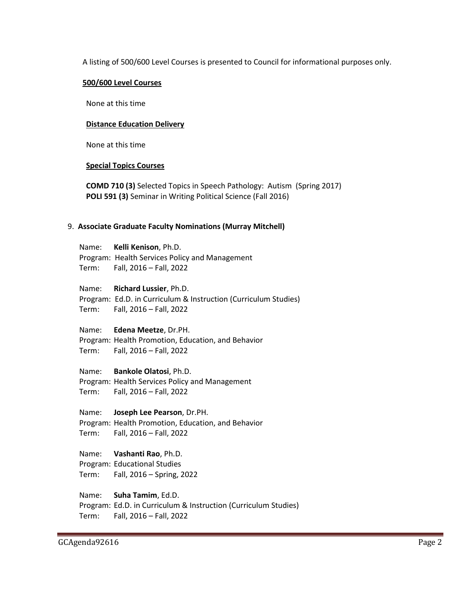A listing of 500/600 Level Courses is presented to Council for informational purposes only.

### **500/600 Level Courses**

None at this time

### **Distance Education Delivery**

None at this time

#### **Special Topics Courses**

**COMD 710 (3)** Selected Topics in Speech Pathology: Autism (Spring 2017) **POLI 591 (3)** Seminar in Writing Political Science (Fall 2016)

#### 9. **Associate Graduate Faculty Nominations (Murray Mitchell)**

Name: **Kelli Kenison**, Ph.D. Program: Health Services Policy and Management Term: Fall, 2016 – Fall, 2022

Name: **Richard Lussier**, Ph.D. Program: Ed.D. in Curriculum & Instruction (Curriculum Studies) Term: Fall, 2016 – Fall, 2022

#### Name: **Edena Meetze**, Dr.PH.

Program: Health Promotion, Education, and Behavior Term: Fall, 2016 – Fall, 2022

## Name: **Bankole Olatosi**, Ph.D.

Program: Health Services Policy and Management Term: Fall, 2016 – Fall, 2022

Name: **Joseph Lee Pearson**, Dr.PH. Program: Health Promotion, Education, and Behavior Term: Fall, 2016 – Fall, 2022

# Name: **Vashanti Rao**, Ph.D.

Program: Educational Studies Term: Fall, 2016 – Spring, 2022

Name: **Suha Tamim**, Ed.D. Program: Ed.D. in Curriculum & Instruction (Curriculum Studies) Term: Fall, 2016 – Fall, 2022